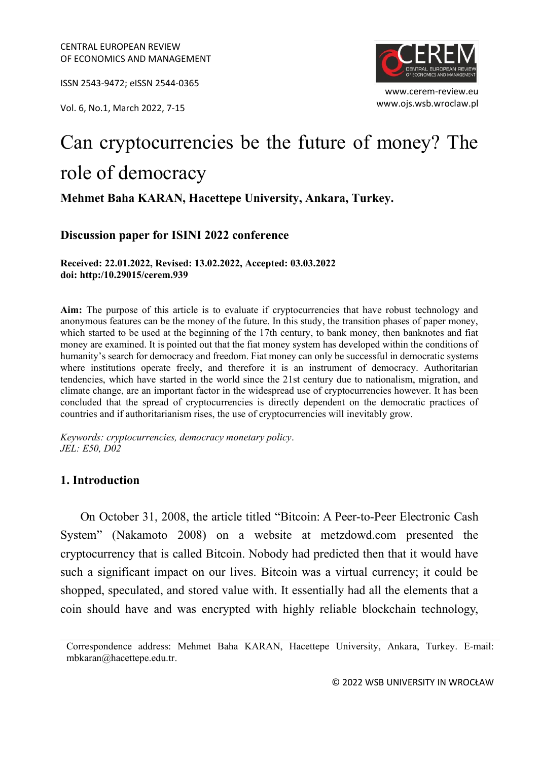ISSN 2543-9472; eISSN 2544-0365

www.ojs.wsb.wroclaw.pl Vol. 6, No.1, March 2022, 7-15



# Can cryptocurrencies be the future of money? The role of democracy

## **Mehmet Baha KARAN, Hacettepe University, Ankara, Turkey.**

## **Discussion paper for ISINI 2022 conference**

**Received: 22.01.2022, Revised: 13.02.2022, Accepted: 03.03.2022 doi: http:/10.29015/cerem.939**

**Aim:** The purpose of this article is to evaluate if cryptocurrencies that have robust technology and anonymous features can be the money of the future. In this study, the transition phases of paper money, which started to be used at the beginning of the 17th century, to bank money, then banknotes and fiat money are examined. It is pointed out that the fiat money system has developed within the conditions of humanity's search for democracy and freedom. Fiat money can only be successful in democratic systems where institutions operate freely, and therefore it is an instrument of democracy. Authoritarian tendencies, which have started in the world since the 21st century due to nationalism, migration, and climate change, are an important factor in the widespread use of cryptocurrencies however. It has been concluded that the spread of cryptocurrencies is directly dependent on the democratic practices of countries and if authoritarianism rises, the use of cryptocurrencies will inevitably grow.

*Keywords: cryptocurrencies, democracy monetary policy*. *JEL: E50, D02*

## **1. Introduction**

On October 31, 2008, the article titled "Bitcoin: A Peer-to-Peer Electronic Cash System" (Nakamoto 2008) on a website at metzdowd.com presented the cryptocurrency that is called Bitcoin. Nobody had predicted then that it would have such a significant impact on our lives. Bitcoin was a virtual currency; it could be shopped, speculated, and stored value with. It essentially had all the elements that a coin should have and was encrypted with highly reliable blockchain technology,

Correspondence address: Mehmet Baha KARAN, Hacettepe University, Ankara, Turkey. E-mail: mbkaran@hacettepe.edu.tr.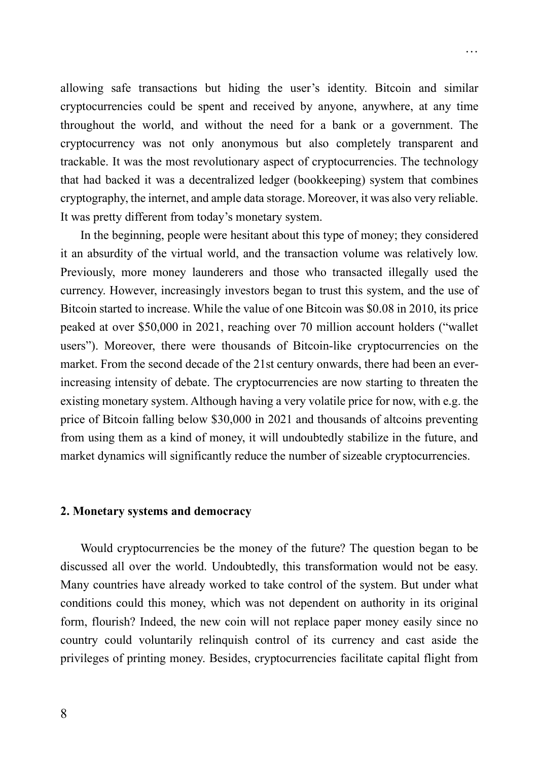allowing safe transactions but hiding the user's identity. Bitcoin and similar cryptocurrencies could be spent and received by anyone, anywhere, at any time throughout the world, and without the need for a bank or a government. The cryptocurrency was not only anonymous but also completely transparent and trackable. It was the most revolutionary aspect of cryptocurrencies. The technology that had backed it was a decentralized ledger (bookkeeping) system that combines cryptography, the internet, and ample data storage. Moreover, it was also very reliable. It was pretty different from today's monetary system.

…

In the beginning, people were hesitant about this type of money; they considered it an absurdity of the virtual world, and the transaction volume was relatively low. Previously, more money launderers and those who transacted illegally used the currency. However, increasingly investors began to trust this system, and the use of Bitcoin started to increase. While the value of one Bitcoin was \$0.08 in 2010, its price peaked at over \$50,000 in 2021, reaching over 70 million account holders ("wallet users"). Moreover, there were thousands of Bitcoin-like cryptocurrencies on the market. From the second decade of the 21st century onwards, there had been an everincreasing intensity of debate. The cryptocurrencies are now starting to threaten the existing monetary system. Although having a very volatile price for now, with e.g. the price of Bitcoin falling below \$30,000 in 2021 and thousands of altcoins preventing from using them as a kind of money, it will undoubtedly stabilize in the future, and market dynamics will significantly reduce the number of sizeable cryptocurrencies.

#### **2. Monetary systems and democracy**

Would cryptocurrencies be the money of the future? The question began to be discussed all over the world. Undoubtedly, this transformation would not be easy. Many countries have already worked to take control of the system. But under what conditions could this money, which was not dependent on authority in its original form, flourish? Indeed, the new coin will not replace paper money easily since no country could voluntarily relinquish control of its currency and cast aside the privileges of printing money. Besides, cryptocurrencies facilitate capital flight from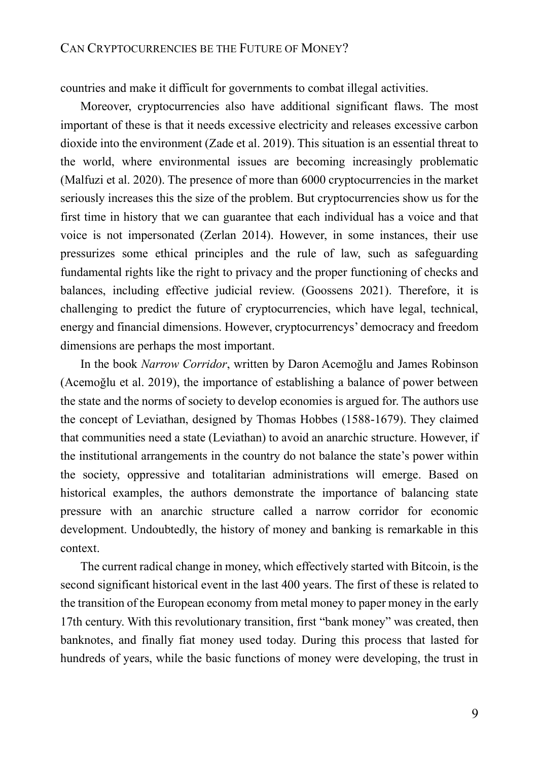## CAN CRYPTOCURRENCIES BE THE FUTURE OF MONEY?

countries and make it difficult for governments to combat illegal activities.

Moreover, cryptocurrencies also have additional significant flaws. The most important of these is that it needs excessive electricity and releases excessive carbon dioxide into the environment (Zade et al. 2019). This situation is an essential threat to the world, where environmental issues are becoming increasingly problematic (Malfuzi et al. 2020). The presence of more than 6000 cryptocurrencies in the market seriously increases this the size of the problem. But cryptocurrencies show us for the first time in history that we can guarantee that each individual has a voice and that voice is not impersonated (Zerlan 2014). However, in some instances, their use pressurizes some ethical principles and the rule of law, such as safeguarding fundamental rights like the right to privacy and the proper functioning of checks and balances, including effective judicial review. (Goossens 2021). Therefore, it is challenging to predict the future of cryptocurrencies, which have legal, technical, energy and financial dimensions. However, cryptocurrencys' democracy and freedom dimensions are perhaps the most important.

In the book *Narrow Corridor*, written by Daron Acemoğlu and James Robinson (Acemoğlu et al. 2019), the importance of establishing a balance of power between the state and the norms of society to develop economies is argued for. The authors use the concept of Leviathan, designed by Thomas Hobbes (1588-1679). They claimed that communities need a state (Leviathan) to avoid an anarchic structure. However, if the institutional arrangements in the country do not balance the state's power within the society, oppressive and totalitarian administrations will emerge. Based on historical examples, the authors demonstrate the importance of balancing state pressure with an anarchic structure called a narrow corridor for economic development. Undoubtedly, the history of money and banking is remarkable in this context.

The current radical change in money, which effectively started with Bitcoin, is the second significant historical event in the last 400 years. The first of these is related to the transition of the European economy from metal money to paper money in the early 17th century. With this revolutionary transition, first "bank money" was created, then banknotes, and finally fiat money used today. During this process that lasted for hundreds of years, while the basic functions of money were developing, the trust in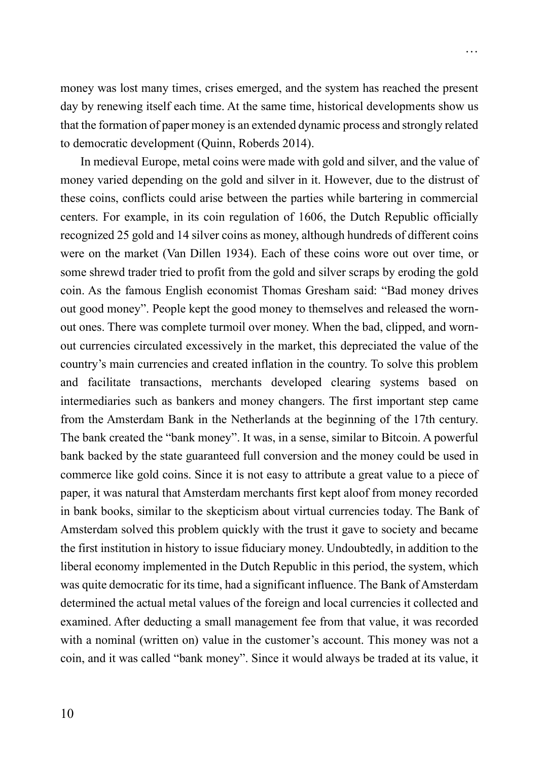money was lost many times, crises emerged, and the system has reached the present day by renewing itself each time. At the same time, historical developments show us that the formation of paper money is an extended dynamic process and strongly related to democratic development (Quinn, Roberds 2014).

In medieval Europe, metal coins were made with gold and silver, and the value of money varied depending on the gold and silver in it. However, due to the distrust of these coins, conflicts could arise between the parties while bartering in commercial centers. For example, in its coin regulation of 1606, the Dutch Republic officially recognized 25 gold and 14 silver coins as money, although hundreds of different coins were on the market (Van Dillen 1934). Each of these coins wore out over time, or some shrewd trader tried to profit from the gold and silver scraps by eroding the gold coin. As the famous English economist Thomas Gresham said: "Bad money drives out good money". People kept the good money to themselves and released the wornout ones. There was complete turmoil over money. When the bad, clipped, and wornout currencies circulated excessively in the market, this depreciated the value of the country's main currencies and created inflation in the country. To solve this problem and facilitate transactions, merchants developed clearing systems based on intermediaries such as bankers and money changers. The first important step came from the Amsterdam Bank in the Netherlands at the beginning of the 17th century. The bank created the "bank money". It was, in a sense, similar to Bitcoin. A powerful bank backed by the state guaranteed full conversion and the money could be used in commerce like gold coins. Since it is not easy to attribute a great value to a piece of paper, it was natural that Amsterdam merchants first kept aloof from money recorded in bank books, similar to the skepticism about virtual currencies today. The Bank of Amsterdam solved this problem quickly with the trust it gave to society and became the first institution in history to issue fiduciary money. Undoubtedly, in addition to the liberal economy implemented in the Dutch Republic in this period, the system, which was quite democratic for its time, had a significant influence. The Bank of Amsterdam determined the actual metal values of the foreign and local currencies it collected and examined. After deducting a small management fee from that value, it was recorded with a nominal (written on) value in the customer's account. This money was not a coin, and it was called "bank money". Since it would always be traded at its value, it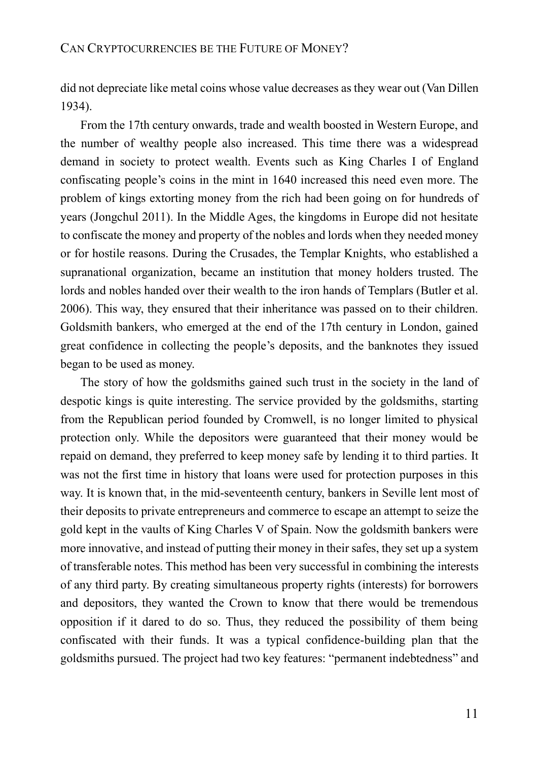did not depreciate like metal coins whose value decreases as they wear out (Van Dillen 1934).

From the 17th century onwards, trade and wealth boosted in Western Europe, and the number of wealthy people also increased. This time there was a widespread demand in society to protect wealth. Events such as King Charles I of England confiscating people's coins in the mint in 1640 increased this need even more. The problem of kings extorting money from the rich had been going on for hundreds of years (Jongchul 2011). In the Middle Ages, the kingdoms in Europe did not hesitate to confiscate the money and property of the nobles and lords when they needed money or for hostile reasons. During the Crusades, the Templar Knights, who established a supranational organization, became an institution that money holders trusted. The lords and nobles handed over their wealth to the iron hands of Templars (Butler et al. 2006). This way, they ensured that their inheritance was passed on to their children. Goldsmith bankers, who emerged at the end of the 17th century in London, gained great confidence in collecting the people's deposits, and the banknotes they issued began to be used as money.

The story of how the goldsmiths gained such trust in the society in the land of despotic kings is quite interesting. The service provided by the goldsmiths, starting from the Republican period founded by Cromwell, is no longer limited to physical protection only. While the depositors were guaranteed that their money would be repaid on demand, they preferred to keep money safe by lending it to third parties. It was not the first time in history that loans were used for protection purposes in this way. It is known that, in the mid-seventeenth century, bankers in Seville lent most of their deposits to private entrepreneurs and commerce to escape an attempt to seize the gold kept in the vaults of King Charles V of Spain. Now the goldsmith bankers were more innovative, and instead of putting their money in their safes, they set up a system of transferable notes. This method has been very successful in combining the interests of any third party. By creating simultaneous property rights (interests) for borrowers and depositors, they wanted the Crown to know that there would be tremendous opposition if it dared to do so. Thus, they reduced the possibility of them being confiscated with their funds. It was a typical confidence-building plan that the goldsmiths pursued. The project had two key features: "permanent indebtedness" and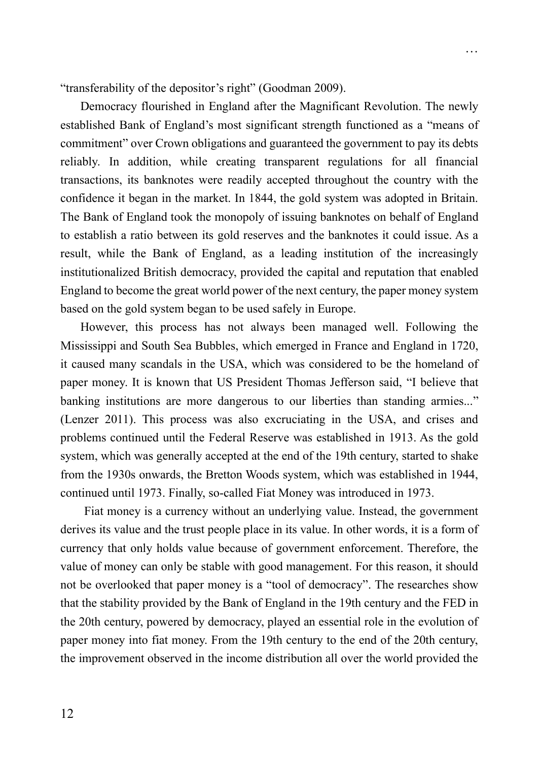"transferability of the depositor's right" (Goodman 2009).

Democracy flourished in England after the Magnificant Revolution. The newly established Bank of England's most significant strength functioned as a "means of commitment" over Crown obligations and guaranteed the government to pay its debts reliably. In addition, while creating transparent regulations for all financial transactions, its banknotes were readily accepted throughout the country with the confidence it began in the market. In 1844, the gold system was adopted in Britain. The Bank of England took the monopoly of issuing banknotes on behalf of England to establish a ratio between its gold reserves and the banknotes it could issue. As a result, while the Bank of England, as a leading institution of the increasingly institutionalized British democracy, provided the capital and reputation that enabled England to become the great world power of the next century, the paper money system based on the gold system began to be used safely in Europe.

…

However, this process has not always been managed well. Following the Mississippi and South Sea Bubbles, which emerged in France and England in 1720, it caused many scandals in the USA, which was considered to be the homeland of paper money. It is known that US President Thomas Jefferson said, "I believe that banking institutions are more dangerous to our liberties than standing armies..." (Lenzer 2011). This process was also excruciating in the USA, and crises and problems continued until the Federal Reserve was established in 1913. As the gold system, which was generally accepted at the end of the 19th century, started to shake from the 1930s onwards, the Bretton Woods system, which was established in 1944, continued until 1973. Finally, so-called Fiat Money was introduced in 1973.

Fiat money is a currency without an underlying value. Instead, the government derives its value and the trust people place in its value. In other words, it is a form of currency that only holds value because of government enforcement. Therefore, the value of money can only be stable with good management. For this reason, it should not be overlooked that paper money is a "tool of democracy". The researches show that the stability provided by the Bank of England in the 19th century and the FED in the 20th century, powered by democracy, played an essential role in the evolution of paper money into fiat money. From the 19th century to the end of the 20th century, the improvement observed in the income distribution all over the world provided the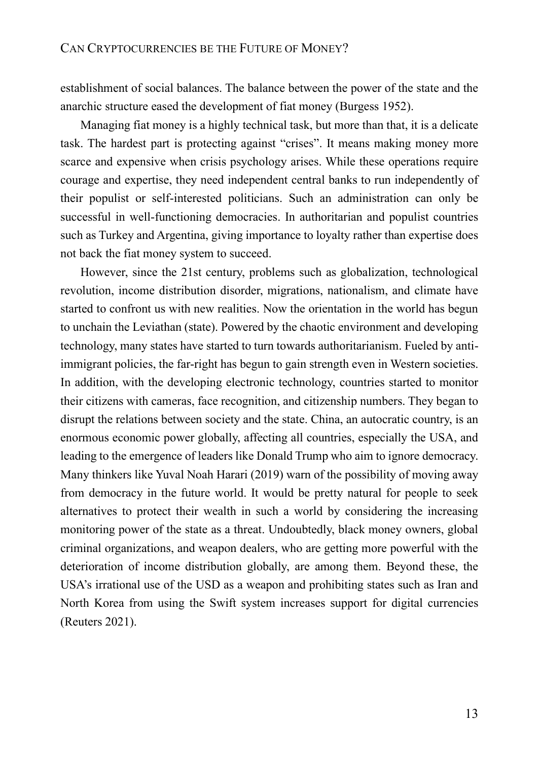establishment of social balances. The balance between the power of the state and the anarchic structure eased the development of fiat money (Burgess 1952).

Managing fiat money is a highly technical task, but more than that, it is a delicate task. The hardest part is protecting against "crises". It means making money more scarce and expensive when crisis psychology arises. While these operations require courage and expertise, they need independent central banks to run independently of their populist or self-interested politicians. Such an administration can only be successful in well-functioning democracies. In authoritarian and populist countries such as Turkey and Argentina, giving importance to loyalty rather than expertise does not back the fiat money system to succeed.

However, since the 21st century, problems such as globalization, technological revolution, income distribution disorder, migrations, nationalism, and climate have started to confront us with new realities. Now the orientation in the world has begun to unchain the Leviathan (state). Powered by the chaotic environment and developing technology, many states have started to turn towards authoritarianism. Fueled by antiimmigrant policies, the far-right has begun to gain strength even in Western societies. In addition, with the developing electronic technology, countries started to monitor their citizens with cameras, face recognition, and citizenship numbers. They began to disrupt the relations between society and the state. China, an autocratic country, is an enormous economic power globally, affecting all countries, especially the USA, and leading to the emergence of leaders like Donald Trump who aim to ignore democracy. Many thinkers like Yuval Noah Harari (2019) warn of the possibility of moving away from democracy in the future world. It would be pretty natural for people to seek alternatives to protect their wealth in such a world by considering the increasing monitoring power of the state as a threat. Undoubtedly, black money owners, global criminal organizations, and weapon dealers, who are getting more powerful with the deterioration of income distribution globally, are among them. Beyond these, the USA's irrational use of the USD as a weapon and prohibiting states such as Iran and North Korea from using the Swift system increases support for digital currencies (Reuters 2021).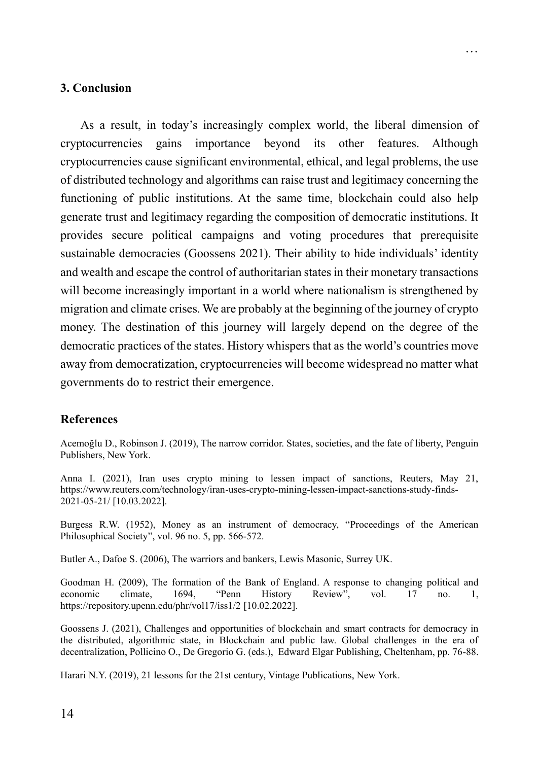#### **3. Conclusion**

As a result, in today's increasingly complex world, the liberal dimension of cryptocurrencies gains importance beyond its other features. Although cryptocurrencies cause significant environmental, ethical, and legal problems, the use of distributed technology and algorithms can raise trust and legitimacy concerning the functioning of public institutions. At the same time, blockchain could also help generate trust and legitimacy regarding the composition of democratic institutions. It provides secure political campaigns and voting procedures that prerequisite sustainable democracies (Goossens 2021). Their ability to hide individuals' identity and wealth and escape the control of authoritarian states in their monetary transactions will become increasingly important in a world where nationalism is strengthened by migration and climate crises. We are probably at the beginning of the journey of crypto money. The destination of this journey will largely depend on the degree of the democratic practices of the states. History whispers that as the world's countries move away from democratization, cryptocurrencies will become widespread no matter what governments do to restrict their emergence.

…

#### **References**

Acemoğlu D., Robinson J. (2019), The narrow corridor. States, societies, and the fate of liberty, Penguin Publishers, New York.

Anna I. (2021), Iran uses crypto mining to lessen impact of sanctions, Reuters, May 21, https://www.reuters.com/technology/iran-uses-crypto-mining-lessen-impact-sanctions-study-finds-2021-05-21/ [10.03.2022].

Burgess R.W. (1952), Money as an instrument of democracy, "Proceedings of the American Philosophical Society", vol. 96 no. 5, pp. 566-572.

Butler A., Dafoe S. (2006), The warriors and bankers, Lewis Masonic, Surrey UK.

Goodman H. (2009), The formation of the Bank of England. A response to changing political and economic climate, 1694, "Penn History Review", vol. 17 no. 1, economic climate, 1694, "Penn History Review", vol. 17 no. 1, https://repository.upenn.edu/phr/vol17/iss1/2 [10.02.2022].

Goossens J. (2021), Challenges and opportunities of blockchain and smart contracts for democracy in the distributed, algorithmic state, in Blockchain and public law. Global challenges in the era of decentralization, Pollicino O., De Gregorio G. (eds.), Edward Elgar Publishing, Cheltenham, pp. 76-88.

Harari N.Y. (2019), 21 lessons for the 21st century, Vintage Publications, New York.